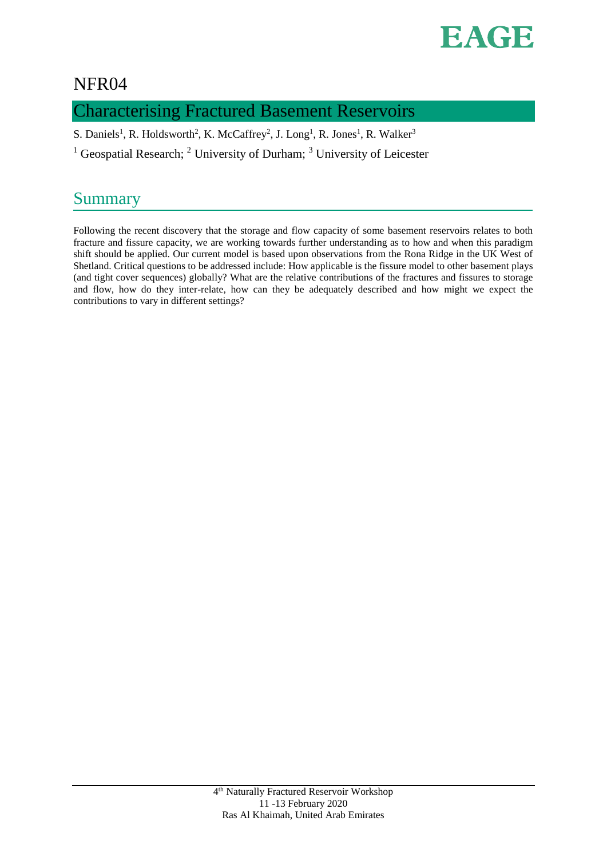

### NFR04

### Characterising Fractured Basement Reservoirs

S. Daniels<sup>1</sup>, R. Holdsworth<sup>2</sup>, K. McCaffrey<sup>2</sup>, J. Long<sup>1</sup>, R. Jones<sup>1</sup>, R. Walker<sup>3</sup>

<sup>1</sup> Geospatial Research; <sup>2</sup> University of Durham; <sup>3</sup> University of Leicester

## Summary

Following the recent discovery that the storage and flow capacity of some basement reservoirs relates to both fracture and fissure capacity, we are working towards further understanding as to how and when this paradigm shift should be applied. Our current model is based upon observations from the Rona Ridge in the UK West of Shetland. Critical questions to be addressed include: How applicable is the fissure model to other basement plays (and tight cover sequences) globally? What are the relative contributions of the fractures and fissures to storage and flow, how do they inter-relate, how can they be adequately described and how might we expect the contributions to vary in different settings?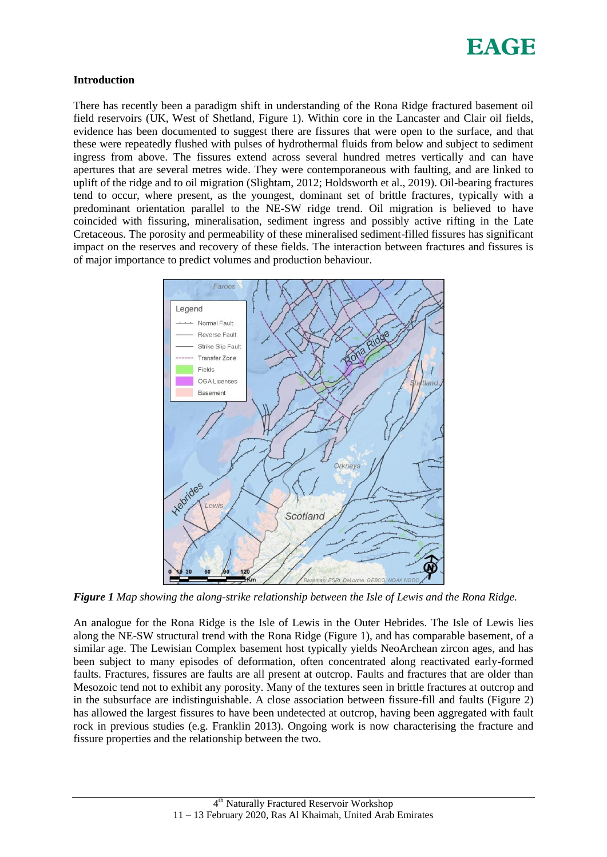

#### **Introduction**

There has recently been a paradigm shift in understanding of the Rona Ridge fractured basement oil field reservoirs (UK, West of Shetland, Figure 1). Within core in the Lancaster and Clair oil fields, evidence has been documented to suggest there are fissures that were open to the surface, and that these were repeatedly flushed with pulses of hydrothermal fluids from below and subject to sediment ingress from above. The fissures extend across several hundred metres vertically and can have apertures that are several metres wide. They were contemporaneous with faulting, and are linked to uplift of the ridge and to oil migration (Slightam, 2012; Holdsworth et al., 2019). Oil-bearing fractures tend to occur, where present, as the youngest, dominant set of brittle fractures, typically with a predominant orientation parallel to the NE-SW ridge trend. Oil migration is believed to have coincided with fissuring, mineralisation, sediment ingress and possibly active rifting in the Late Cretaceous. The porosity and permeability of these mineralised sediment-filled fissures has significant impact on the reserves and recovery of these fields. The interaction between fractures and fissures is of major importance to predict volumes and production behaviour.



*Figure 1 Map showing the along-strike relationship between the Isle of Lewis and the Rona Ridge.* 

An analogue for the Rona Ridge is the Isle of Lewis in the Outer Hebrides. The Isle of Lewis lies along the NE-SW structural trend with the Rona Ridge (Figure 1), and has comparable basement, of a similar age. The Lewisian Complex basement host typically yields NeoArchean zircon ages, and has been subject to many episodes of deformation, often concentrated along reactivated early-formed faults. Fractures, fissures are faults are all present at outcrop. Faults and fractures that are older than Mesozoic tend not to exhibit any porosity. Many of the textures seen in brittle fractures at outcrop and in the subsurface are indistinguishable. A close association between fissure-fill and faults (Figure 2) has allowed the largest fissures to have been undetected at outcrop, having been aggregated with fault rock in previous studies (e.g. Franklin 2013). Ongoing work is now characterising the fracture and fissure properties and the relationship between the two.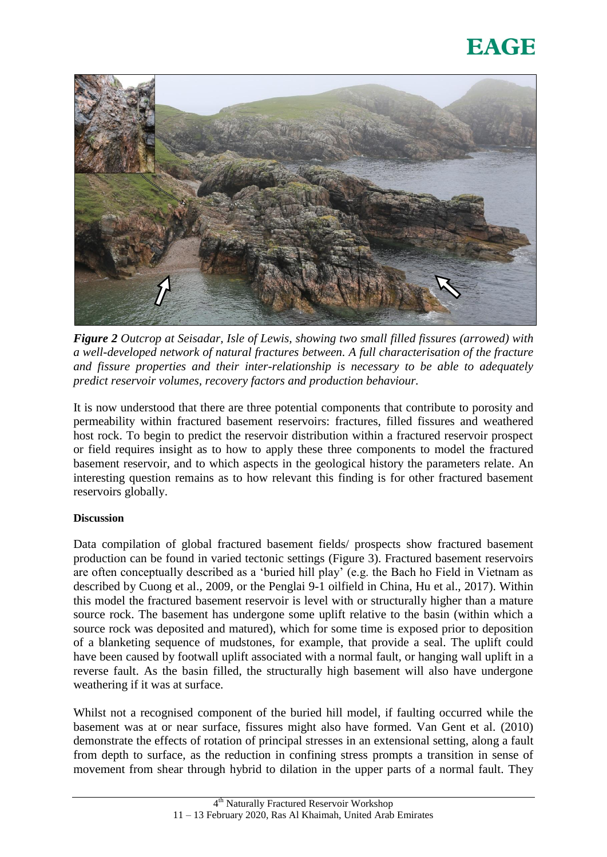# EAGE



*Figure 2 Outcrop at Seisadar, Isle of Lewis, showing two small filled fissures (arrowed) with a well-developed network of natural fractures between. A full characterisation of the fracture and fissure properties and their inter-relationship is necessary to be able to adequately predict reservoir volumes, recovery factors and production behaviour.* 

It is now understood that there are three potential components that contribute to porosity and permeability within fractured basement reservoirs: fractures, filled fissures and weathered host rock. To begin to predict the reservoir distribution within a fractured reservoir prospect or field requires insight as to how to apply these three components to model the fractured basement reservoir, and to which aspects in the geological history the parameters relate. An interesting question remains as to how relevant this finding is for other fractured basement reservoirs globally.

### **Discussion**

Data compilation of global fractured basement fields/ prospects show fractured basement production can be found in varied tectonic settings (Figure 3). Fractured basement reservoirs are often conceptually described as a 'buried hill play' (e.g. the Bach ho Field in Vietnam as described by Cuong et al., 2009, or the Penglai 9-1 oilfield in China, Hu et al., 2017). Within this model the fractured basement reservoir is level with or structurally higher than a mature source rock. The basement has undergone some uplift relative to the basin (within which a source rock was deposited and matured), which for some time is exposed prior to deposition of a blanketing sequence of mudstones, for example, that provide a seal. The uplift could have been caused by footwall uplift associated with a normal fault, or hanging wall uplift in a reverse fault. As the basin filled, the structurally high basement will also have undergone weathering if it was at surface.

Whilst not a recognised component of the buried hill model, if faulting occurred while the basement was at or near surface, fissures might also have formed. Van Gent et al. (2010) demonstrate the effects of rotation of principal stresses in an extensional setting, along a fault from depth to surface, as the reduction in confining stress prompts a transition in sense of movement from shear through hybrid to dilation in the upper parts of a normal fault. They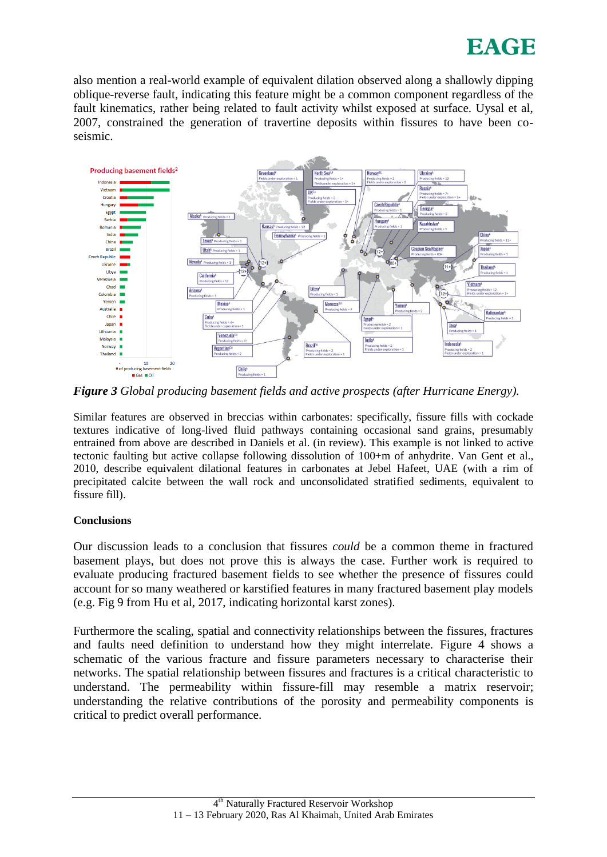

also mention a real-world example of equivalent dilation observed along a shallowly dipping oblique-reverse fault, indicating this feature might be a common component regardless of the fault kinematics, rather being related to fault activity whilst exposed at surface. Uysal et al, 2007, constrained the generation of travertine deposits within fissures to have been coseismic.



*Figure 3 Global producing basement fields and active prospects (after Hurricane Energy).* 

Similar features are observed in breccias within carbonates: specifically, fissure fills with cockade textures indicative of long-lived fluid pathways containing occasional sand grains, presumably entrained from above are described in Daniels et al. (in review). This example is not linked to active tectonic faulting but active collapse following dissolution of 100+m of anhydrite. Van Gent et al., 2010, describe equivalent dilational features in carbonates at Jebel Hafeet, UAE (with a rim of precipitated calcite between the wall rock and unconsolidated stratified sediments, equivalent to fissure fill).

### **Conclusions**

Our discussion leads to a conclusion that fissures *could* be a common theme in fractured basement plays, but does not prove this is always the case. Further work is required to evaluate producing fractured basement fields to see whether the presence of fissures could account for so many weathered or karstified features in many fractured basement play models (e.g. Fig 9 from Hu et al, 2017, indicating horizontal karst zones).

Furthermore the scaling, spatial and connectivity relationships between the fissures, fractures and faults need definition to understand how they might interrelate. Figure 4 shows a schematic of the various fracture and fissure parameters necessary to characterise their networks. The spatial relationship between fissures and fractures is a critical characteristic to understand. The permeability within fissure-fill may resemble a matrix reservoir; understanding the relative contributions of the porosity and permeability components is critical to predict overall performance.